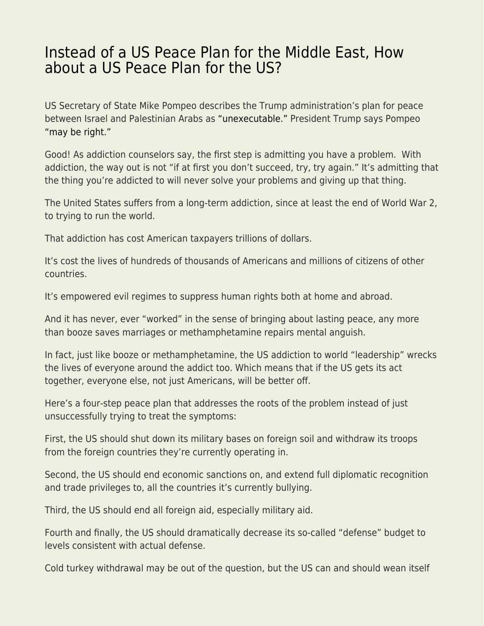## [Instead of a US Peace Plan for the Middle East, How](https://everything-voluntary.com/instead-of-a-us-peace-plan-for-the-middle-east-how-about-a-us-peace-plan-for-the-us) [about a US Peace Plan for the US?](https://everything-voluntary.com/instead-of-a-us-peace-plan-for-the-middle-east-how-about-a-us-peace-plan-for-the-us)

US Secretary of State Mike Pompeo describes the Trump administration's plan for peace between Israel and Palestinian Arabs as ["unexecutable."](https://www.politico.com/story/2019/06/02/trump-pompeo-middle-east-peace-plan-1351099) President Trump says Pompeo ["may be right."](https://www.politico.com/story/2019/06/02/trump-pompeo-middle-east-peace-plan-1351099)

Good! As addiction counselors say, the first step is admitting you have a problem. With addiction, the way out is not "if at first you don't succeed, try, try again." It's admitting that the thing you're addicted to will never solve your problems and giving up that thing.

The United States suffers from a long-term addiction, since at least the end of World War 2, to trying to run the world.

That addiction has cost American taxpayers trillions of dollars.

It's cost the lives of hundreds of thousands of Americans and millions of citizens of other countries.

It's empowered evil regimes to suppress human rights both at home and abroad.

And it has never, ever "worked" in the sense of bringing about lasting peace, any more than booze saves marriages or methamphetamine repairs mental anguish.

In fact, just like booze or methamphetamine, the US addiction to world "leadership" wrecks the lives of everyone around the addict too. Which means that if the US gets its act together, everyone else, not just Americans, will be better off.

Here's a four-step peace plan that addresses the roots of the problem instead of just unsuccessfully trying to treat the symptoms:

First, the US should shut down its military bases on foreign soil and withdraw its troops from the foreign countries they're currently operating in.

Second, the US should end economic sanctions on, and extend full diplomatic recognition and trade privileges to, all the countries it's currently bullying.

Third, the US should end all foreign aid, especially military aid.

Fourth and finally, the US should dramatically decrease its so-called "defense" budget to levels consistent with actual defense.

Cold turkey withdrawal may be out of the question, but the US can and should wean itself